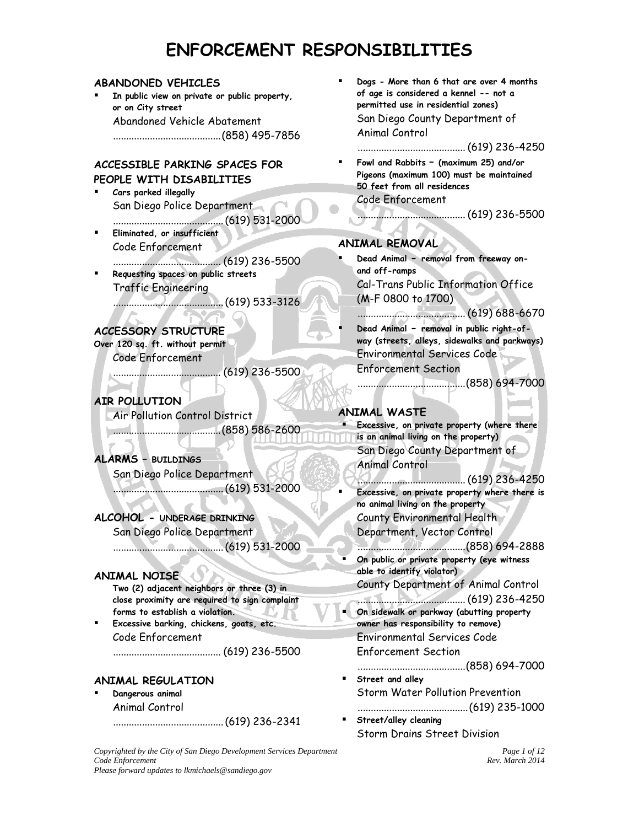#### **ABANDONED VEHICLES**

 **In public view on private or public property, or on City street** Abandoned Vehicle Abatement .........................................(858) 495-7856

# **ACCESSIBLE PARKING SPACES FOR PEOPLE WITH DISABILITIES**

- **Cars parked illegally** San Diego Police Department ..........................................(619) 531-2000
- **Eliminated, or insufficient** Code Enforcement ......................................... (619) 236-5500
- **Requesting spaces on public streets** Traffic Engineering
	- ..........................................(619) 533-3126

#### **ACCESSORY STRUCTURE Over 120 sq. ft. without permit**

Code Enforcement

......................................... (619) 236-5500

# **AIR POLLUTION**

 $\sim$ 

Air Pollution Control District

.........................................(858) 586-2600

# **ALARMS – BUILDINGS**

San Diego Police Department ..........................................(619) 531-2000

# **ALCOHOL - UNDERAGE DRINKING**

San Diego Police Department

..........................................(619) 531-2000

# **ANIMAL NOISE**

**Two (2) adjacent neighbors or three (3) in close proximity are required to sign complaint forms to establish a violation.** 

 **Excessive barking, chickens, goats, etc.** Code Enforcement ......................................... (619) 236-5500

# **ANIMAL REGULATION**

 **Dangerous animal** Animal Control

..........................................(619) 236-2341

 **Dogs - More than 6 that are over 4 months of age is considered a kennel -- not a permitted use in residential zones)** San Diego County Department of Animal Control

# ......................................... (619) 236-4250

 **Fowl and Rabbits – (maximum 25) and/or Pigeons (maximum 100) must be maintained 50 feet from all residences** Code Enforcement

......................................... (619) 236-5500

# **ANIMAL REMOVAL**

- **Dead Animal - removal from freeway onand off-ramps** Cal-Trans Public Information Office (M-F 0800 to 1700)
- ......................................... (619) 688-6670 **Dead Animal - removal in public right-ofway (streets, alleys, sidewalks and parkways)** Environmental Services Code Enforcement Section

.........................................(858) 694-7000

# **ANIMAL WASTE**

- **Excessive, on private property (where there is an animal living on the property)** San Diego County Department of Animal Control
	-
- ......................................... (619) 236-4250 **Excessive, on private property where there is no animal living on the property** County Environmental Health
	- Department, Vector Control
- .........................................(858) 694-2888 **On public or private property (eye witness able to identify violator)**
	- County Department of Animal Control
- ......................................... (619) 236-4250 **On sidewalk or parkway (abutting property owner has responsibility to remove)** Environmental Services Code
- Enforcement Section
- .........................................(858) 694-7000
- **Street and alley** Storm Water Pollution Prevention
- ..........................................(619) 235-1000 **Street/alley cleaning** Storm Drains Street Division

*Copyrighted by the City of San Diego Development Services Department Page 1 of 12 Code Enforcement Rev. March 2014 Please forward updates to lkmichaels@sandiego.gov*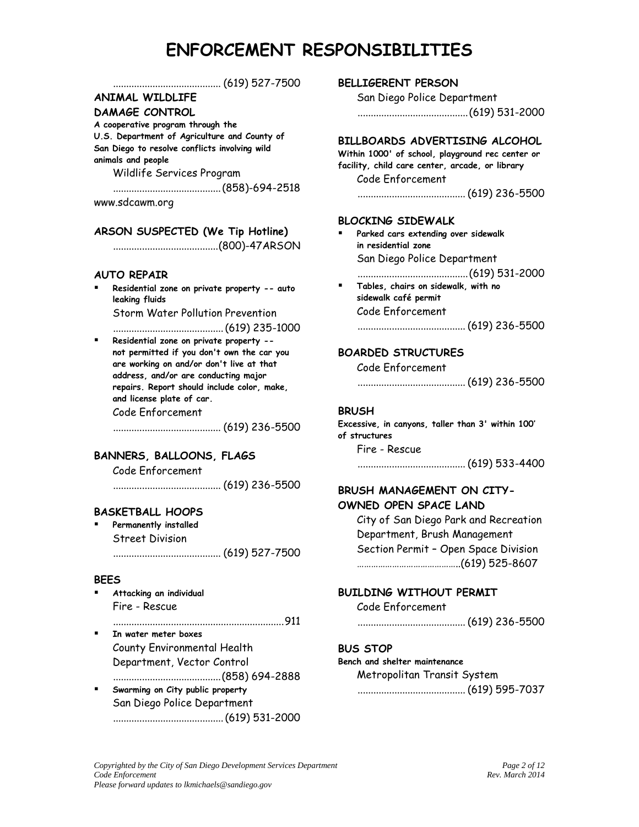|                                                                                        | BELLIGERENT PERSON                                          |
|----------------------------------------------------------------------------------------|-------------------------------------------------------------|
| <b>ANIMAL WILDLIFE</b>                                                                 | San Diego Police Department                                 |
| DAMAGE CONTROL                                                                         |                                                             |
| A cooperative program through the                                                      |                                                             |
| U.S. Department of Agriculture and County of                                           | BILLBOARDS ADVERTISING ALCOHOL                              |
| San Diego to resolve conflicts involving wild                                          | Within 1000' of school, playground rec center or            |
| animals and people                                                                     | facility, child care center, arcade, or library             |
| Wildlife Services Program                                                              | Code Enforcement                                            |
|                                                                                        |                                                             |
| www.sdcawm.org                                                                         |                                                             |
|                                                                                        | <b>BLOCKING SIDEWALK</b>                                    |
| ARSON SUSPECTED (We Tip Hotline)                                                       |                                                             |
|                                                                                        | Parked cars extending over sidewalk<br>in residential zone  |
|                                                                                        | San Diego Police Department                                 |
|                                                                                        |                                                             |
| <b>AUTO REPAIR</b>                                                                     |                                                             |
| Residential zone on private property -- auto                                           | Tables, chairs on sidewalk, with no<br>sidewalk café permit |
| leaking fluids                                                                         | Code Enforcement                                            |
| <b>Storm Water Pollution Prevention</b>                                                |                                                             |
|                                                                                        |                                                             |
| Residential zone on private property --<br>٠                                           |                                                             |
| not permitted if you don't own the car you<br>are working on and/or don't live at that | <b>BOARDED STRUCTURES</b>                                   |
| address, and/or are conducting major                                                   | Code Enforcement                                            |
| repairs. Report should include color, make,                                            |                                                             |
| and license plate of car.                                                              |                                                             |
| Code Enforcement                                                                       | <b>BRUSH</b>                                                |
|                                                                                        | Excessive, in canyons, taller than 3' within 100'           |
|                                                                                        | of structures                                               |
| BANNERS, BALLOONS, FLAGS                                                               | Fire - Rescue                                               |
| Code Enforcement                                                                       |                                                             |
|                                                                                        |                                                             |
|                                                                                        | BRUSH MANAGEMENT ON CITY-                                   |
|                                                                                        | OWNED OPEN SPACE LAND                                       |
| <b>BASKETBALL HOOPS</b>                                                                | City of San Diego Park and Recreation                       |
| Permanently installed                                                                  | Department, Brush Management                                |
| <b>Street Division</b>                                                                 | Section Permit - Open Space Division                        |
|                                                                                        |                                                             |
|                                                                                        |                                                             |
| <b>BEES</b>                                                                            |                                                             |
| Attacking an individual                                                                | <b>BUILDING WITHOUT PERMIT</b>                              |
| Fire - Rescue                                                                          | Code Enforcement                                            |
|                                                                                        |                                                             |
| In water meter boxes                                                                   |                                                             |
| County Environmental Health                                                            | <b>BUS STOP</b>                                             |
| Department, Vector Control                                                             | Bench and shelter maintenance                               |
|                                                                                        | Metropolitan Transit System                                 |
| Swarming on City public property                                                       |                                                             |
| San Diego Police Department                                                            |                                                             |
|                                                                                        |                                                             |
|                                                                                        |                                                             |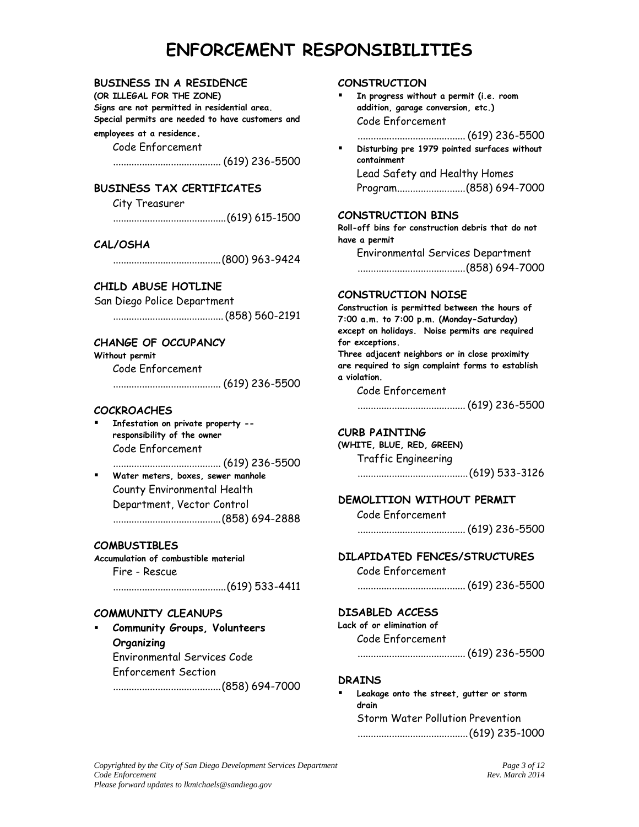## **BUSINESS IN A RESIDENCE**

**(OR ILLEGAL FOR THE ZONE) Signs are not permitted in residential area. Special permits are needed to have customers and** 

## **employees at a residence.**

Code Enforcement

......................................... (619) 236-5500

# **BUSINESS TAX CERTIFICATES**

City Treasurer

...........................................(619) 615-1500

### **CAL/OSHA**

.........................................(800) 963-9424

# **CHILD ABUSE HOTLINE**

San Diego Police Department

..........................................(858) 560-2191

## **CHANGE OF OCCUPANCY**

**Without permit** Code Enforcement

......................................... (619) 236-5500

#### **COCKROACHES**

 **Infestation on private property - responsibility of the owner** Code Enforcement

......................................... (619) 236-5500

 **Water meters, boxes, sewer manhole** County Environmental Health Department, Vector Control .........................................(858) 694-2888

#### **COMBUSTIBLES**

**Accumulation of combustible material** Fire - Rescue ...........................................(619) 533-4411

#### **COMMUNITY CLEANUPS**

 **Community Groups, Volunteers Organizing** Environmental Services Code Enforcement Section .........................................(858) 694-7000

#### **CONSTRUCTION**

- **In progress without a permit (i.e. room addition, garage conversion, etc.)** Code Enforcement
	- ......................................... (619) 236-5500 **Disturbing pre 1979 pointed surfaces without containment** Lead Safety and Healthy Homes

Program..........................(858) 694-7000

#### **CONSTRUCTION BINS**

**Roll-off bins for construction debris that do not have a permit**

Environmental Services Department .........................................(858) 694-7000

#### **CONSTRUCTION NOISE**

**Construction is permitted between the hours of 7:00 a.m. to 7:00 p.m. (Monday-Saturday) except on holidays. Noise permits are required for exceptions. Three adjacent neighbors or in close proximity are required to sign complaint forms to establish a violation.**  Code Enforcement

......................................... (619) 236-5500

#### **CURB PAINTING**

**(WHITE, BLUE, RED, GREEN)** Traffic Engineering

..........................................(619) 533-3126

### **DEMOLITION WITHOUT PERMIT**

Code Enforcement

......................................... (619) 236-5500

# **DILAPIDATED FENCES/STRUCTURES**

Code Enforcement

......................................... (619) 236-5500

#### **DISABLED ACCESS**

**Lack of or elimination of** Code Enforcement

......................................... (619) 236-5500

#### **DRAINS**

 **Leakage onto the street, gutter or storm drain** Storm Water Pollution Prevention ..........................................(619) 235-1000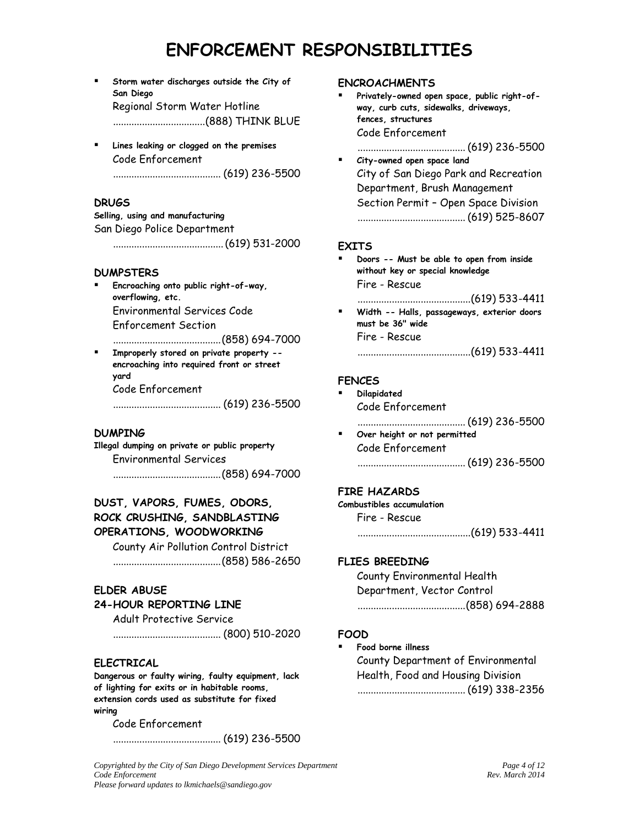**Storm water discharges outside the City of San Diego** Regional Storm Water Hotline

...................................(888) THINK BLUE

 **Lines leaking or clogged on the premises** Code Enforcement

......................................... (619) 236-5500

#### **DRUGS**

**Selling, using and manufacturing** San Diego Police Department

..........................................(619) 531-2000

#### **DUMPSTERS**

 **Encroaching onto public right-of-way, overflowing, etc.** Environmental Services Code Enforcement Section

.........................................(858) 694-7000

 **Improperly stored on private property - encroaching into required front or street yard** Code Enforcement

......................................... (619) 236-5500

#### **DUMPING**

**Illegal dumping on private or public property** Environmental Services .........................................(858) 694-7000

# **DUST, VAPORS, FUMES, ODORS, ROCK CRUSHING, SANDBLASTING OPERATIONS, WOODWORKING**

County Air Pollution Control District .........................................(858) 586-2650

#### **ELDER ABUSE**

#### **24-HOUR REPORTING LINE**

Adult Protective Service

......................................... (800) 510-2020

#### **ELECTRICAL**

**Dangerous or faulty wiring, faulty equipment, lack of lighting for exits or in habitable rooms, extension cords used as substitute for fixed wiring**

Code Enforcement

......................................... (619) 236-5500

#### *Copyrighted by the City of San Diego Development Services Department Page 4 of 12*<br>*Code Enforcement Rev. March 2014*  $Code$  *Enforcement Please forward updates to lkmichaels@sandiego.gov*

#### **ENCROACHMENTS**

- **Privately-owned open space, public right-ofway, curb cuts, sidewalks, driveways, fences, structures** Code Enforcement ......................................... (619) 236-5500
- **City-owned open space land** City of San Diego Park and Recreation Department, Brush Management Section Permit – Open Space Division ......................................... (619) 525-8607

### **EXITS**

- **Doors -- Must be able to open from inside without key or special knowledge** Fire - Rescue
	- ...........................................(619) 533-4411
- **Width -- Halls, passageways, exterior doors must be 36" wide** Fire - Rescue

...........................................(619) 533-4411

#### **FENCES**

- **Dilapidated** Code Enforcement ......................................... (619) 236-5500 **Over height or not permitted**
- Code Enforcement ......................................... (619) 236-5500

#### **FIRE HAZARDS**

## **Combustibles accumulation**

Fire - Rescue

...........................................(619) 533-4411

#### **FLIES BREEDING**

County Environmental Health Department, Vector Control .........................................(858) 694-2888

#### **FOOD**

#### **Food borne illness**

County Department of Environmental Health, Food and Housing Division ......................................... (619) 338-2356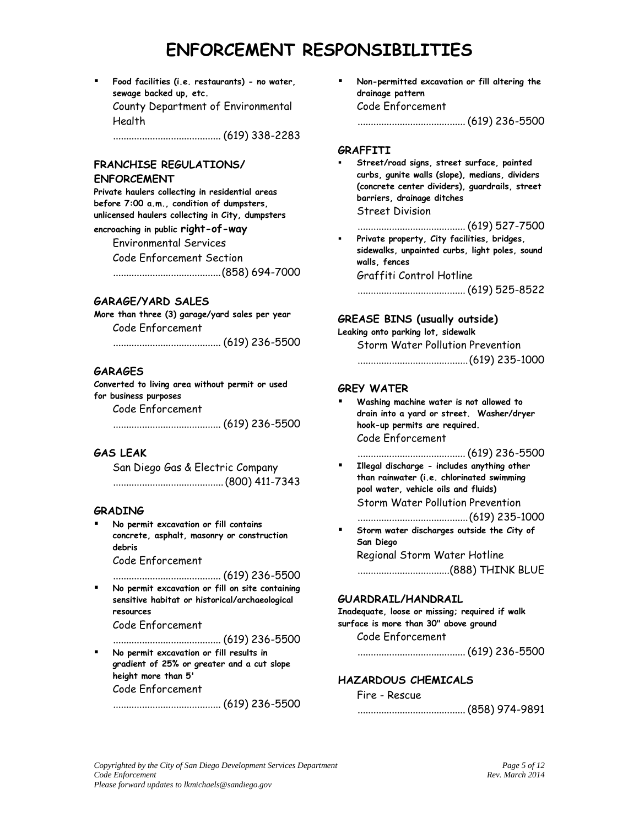**Food facilities (i.e. restaurants) - no water, sewage backed up, etc.** County Department of Environmental Health

......................................... (619) 338-2283

# **FRANCHISE REGULATIONS/**

## **ENFORCEMENT**

**Private haulers collecting in residential areas before 7:00 a.m., condition of dumpsters, unlicensed haulers collecting in City, dumpsters encroaching in public right-of-way** Environmental Services

> Code Enforcement Section .........................................(858) 694-7000

# **GARAGE/YARD SALES**

**More than three (3) garage/yard sales per year** Code Enforcement

......................................... (619) 236-5500

### **GARAGES**

**Converted to living area without permit or used for business purposes** Code Enforcement

......................................... (619) 236-5500

# **GAS LEAK**

San Diego Gas & Electric Company ..........................................(800) 411-7343

### **GRADING**

 **No permit excavation or fill contains concrete, asphalt, masonry or construction debris**

Code Enforcement

......................................... (619) 236-5500

 **No permit excavation or fill on site containing sensitive habitat or historical/archaeological resources**

Code Enforcement

......................................... (619) 236-5500

 **No permit excavation or fill results in gradient of 25% or greater and a cut slope height more than 5'**  Code Enforcement

......................................... (619) 236-5500

 **Non-permitted excavation or fill altering the drainage pattern** Code Enforcement

......................................... (619) 236-5500

#### **GRAFFITI**

 **Street/road signs, street surface, painted curbs, gunite walls (slope), medians, dividers (concrete center dividers), guardrails, street barriers, drainage ditches** Street Division

......................................... (619) 527-7500

 **Private property, City facilities, bridges, sidewalks, unpainted curbs, light poles, sound walls, fences** Graffiti Control Hotline

......................................... (619) 525-8522

## **GREASE BINS (usually outside)**

**Leaking onto parking lot, sidewalk**

Storm Water Pollution Prevention ..........................................(619) 235-1000

### **GREY WATER**

 **Washing machine water is not allowed to drain into a yard or street. Washer/dryer hook-up permits are required.** Code Enforcement

......................................... (619) 236-5500

- **Illegal discharge - includes anything other than rainwater (i.e. chlorinated swimming pool water, vehicle oils and fluids)** Storm Water Pollution Prevention ..........................................(619) 235-1000
- **Storm water discharges outside the City of San Diego** Regional Storm Water Hotline

...................................(888) THINK BLUE

### **GUARDRAIL/HANDRAIL**

**Inadequate, loose or missing; required if walk surface is more than 30" above ground**

Code Enforcement

......................................... (619) 236-5500

## **HAZARDOUS CHEMICALS**

#### Fire - Rescue

......................................... (858) 974-9891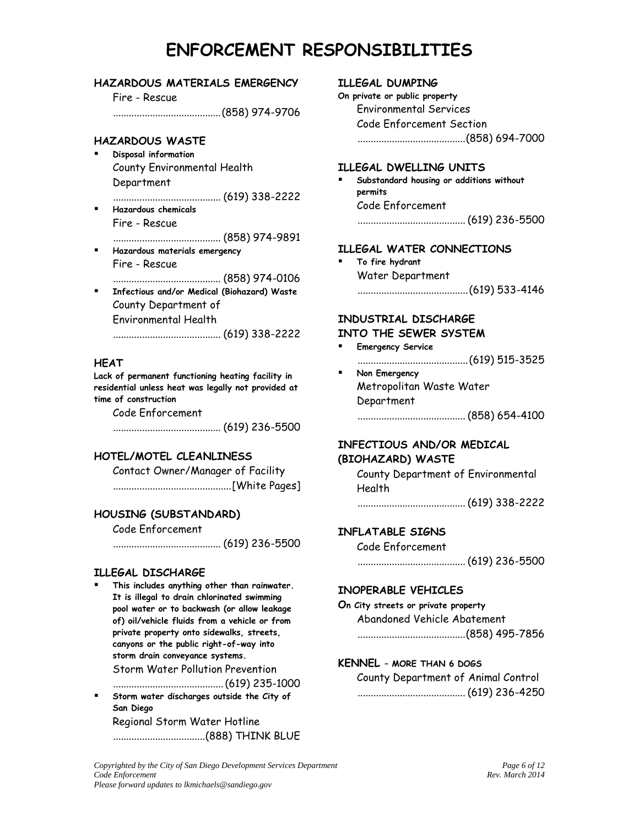# **HAZARDOUS MATERIALS EMERGENCY**

Fire - Rescue

.........................................(858) 974-9706

## **HAZARDOUS WASTE**

- **Disposal information** County Environmental Health Department
- ......................................... (619) 338-2222 **Hazardous chemicals**
	- Fire Rescue

......................................... (858) 974-9891

- **Hazardous materials emergency** Fire - Rescue
- ......................................... (858) 974-0106 **Infectious and/or Medical (Biohazard) Waste**  County Department of Environmental Health

......................................... (619) 338-2222

## **HEAT**

**Lack of permanent functioning heating facility in residential unless heat was legally not provided at time of construction**

Code Enforcement

......................................... (619) 236-5500

# **HOTEL/MOTEL CLEANLINESS**

Contact Owner/Manager of Facility .............................................[White Pages]

# **HOUSING (SUBSTANDARD)**

Code Enforcement

......................................... (619) 236-5500

## **ILLEGAL DISCHARGE**

 **This includes anything other than rainwater. It is illegal to drain chlorinated swimming pool water or to backwash (or allow leakage of) oil/vehicle fluids from a vehicle or from private property onto sidewalks, streets, canyons or the public right-of-way into storm drain conveyance systems.** Storm Water Pollution Prevention

..........................................(619) 235-1000 **Storm water discharges outside the City of San Diego**

Regional Storm Water Hotline ...................................(888) THINK BLUE

## **ILLEGAL DUMPING**

**On private or public property** Environmental Services Code Enforcement Section .........................................(858) 694-7000

#### **ILLEGAL DWELLING UNITS**

 **Substandard housing or additions without permits** Code Enforcement ......................................... (619) 236-5500

### **ILLEGAL WATER CONNECTIONS**

 **To fire hydrant** Water Department ..........................................(619) 533-4146

# **INDUSTRIAL DISCHARGE**

## **INTO THE SEWER SYSTEM**

 **Emergency Service** ..........................................(619) 515-3525 **Non Emergency** Metropolitan Waste Water Department

......................................... (858) 654-4100

# **INFECTIOUS AND/OR MEDICAL (BIOHAZARD) WASTE**

County Department of Environmental Health

......................................... (619) 338-2222

# **INFLATABLE SIGNS**

Code Enforcement

......................................... (619) 236-5500

### **INOPERABLE VEHICLES**

## **On City streets or private property**

Abandoned Vehicle Abatement .........................................(858) 495-7856

### **KENNEL – MORE THAN 6 DOGS**

County Department of Animal Control ......................................... (619) 236-4250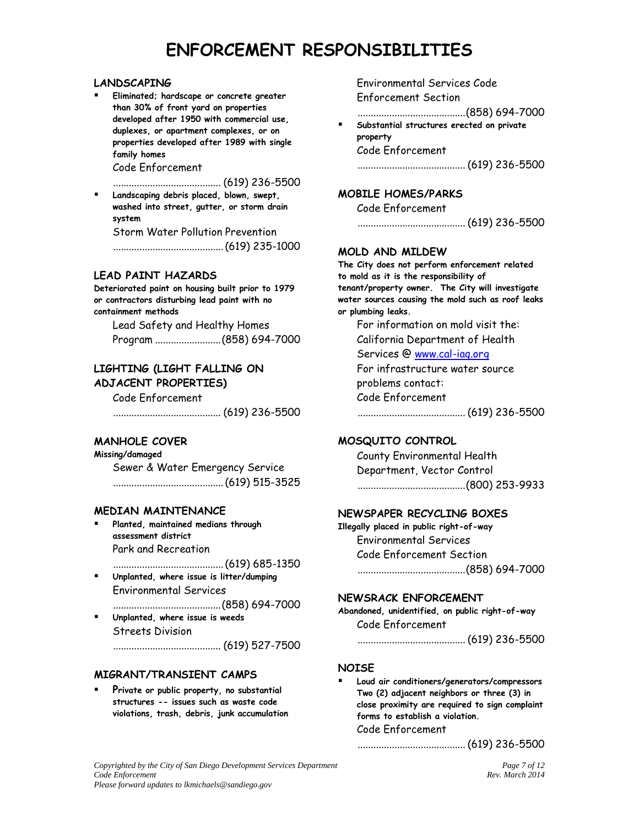#### **LANDSCAPING**

 **Eliminated; hardscape or concrete greater than 30% of front yard on properties developed after 1950 with commercial use, duplexes, or apartment complexes, or on properties developed after 1989 with single family homes** 

Code Enforcement

......................................... (619) 236-5500

 **Landscaping debris placed, blown, swept, washed into street, gutter, or storm drain system** Storm Water Pollution Prevention

..........................................(619) 235-1000

### **LEAD PAINT HAZARDS**

**Deteriorated paint on housing built prior to 1979 or contractors disturbing lead paint with no containment methods**

Lead Safety and Healthy Homes Program .........................(858) 694-7000

# **LIGHTING (LIGHT FALLING ON ADJACENT PROPERTIES)**

Code Enforcement

......................................... (619) 236-5500

# **MANHOLE COVER**

**Missing/damaged** Sewer & Water Emergency Service ..........................................(619) 515-3525

### **MEDIAN MAINTENANCE**

- **Planted, maintained medians through assessment district** Park and Recreation
- ..........................................(619) 685-1350 **Unplanted, where issue is litter/dumping** Environmental Services
	- .........................................(858) 694-7000
- **Unplanted, where issue is weeds** Streets Division ......................................... (619) 527-7500

### **MIGRANT/TRANSIENT CAMPS**

 **Private or public property, no substantial structures -- issues such as waste code violations, trash, debris, junk accumulation** Environmental Services Code Enforcement Section

.........................................(858) 694-7000

 **Substantial structures erected on private property** Code Enforcement

......................................... (619) 236-5500

# **MOBILE HOMES/PARKS**

Code Enforcement

......................................... (619) 236-5500

### **MOLD AND MILDEW**

**The City does not perform enforcement related to mold as it is the responsibility of tenant/property owner. The City will investigate water sources causing the mold such as roof leaks or plumbing leaks.**

For information on mold visit the: California Department of Health Services @ www.cal-iaq.org For infrastructure water source problems contact: Code Enforcement

......................................... (619) 236-5500

# **MOSQUITO CONTROL**

County Environmental Health Department, Vector Control .........................................(800) 253-9933

### **NEWSPAPER RECYCLING BOXES**

**Illegally placed in public right-of-way** Environmental Services Code Enforcement Section .........................................(858) 694-7000

### **NEWSRACK ENFORCEMENT**

**Abandoned, unidentified, on public right-of-way** Code Enforcement

......................................... (619) 236-5500

### **NOISE**

 **Loud air conditioners/generators/compressors Two (2) adjacent neighbors or three (3) in close proximity are required to sign complaint forms to establish a violation.**  Code Enforcement

## ......................................... (619) 236-5500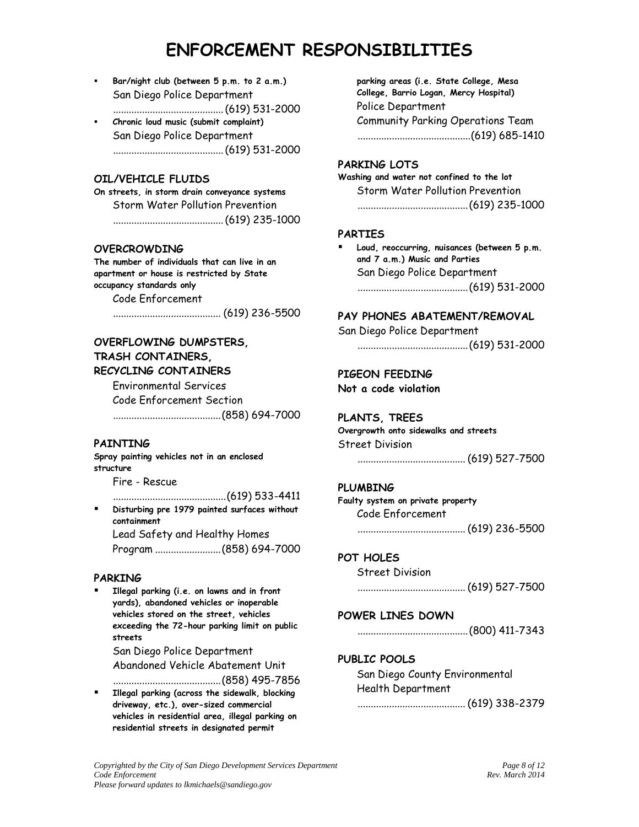- **Bar/night club (between 5 p.m. to 2 a.m.)** San Diego Police Department ..........................................(619) 531-2000
- **Chronic loud music (submit complaint)** San Diego Police Department ..........................................(619) 531-2000

## **OIL/VEHICLE FLUIDS**

**On streets, in storm drain conveyance systems** Storm Water Pollution Prevention ..........................................(619) 235-1000

#### **OVERCROWDING**

**The number of individuals that can live in an apartment or house is restricted by State occupancy standards only**

Code Enforcement

......................................... (619) 236-5500

# **OVERFLOWING DUMPSTERS, TRASH CONTAINERS, RECYCLING CONTAINERS**

Environmental Services Code Enforcement Section

.........................................(858) 694-7000

#### **PAINTING**

**Spray painting vehicles not in an enclosed structure**

Fire - Rescue

...........................................(619) 533-4411 **Disturbing pre 1979 painted surfaces without containment** Lead Safety and Healthy Homes

Program .........................(858) 694-7000

#### **PARKING**

 **Illegal parking (i.e. on lawns and in front yards), abandoned vehicles or inoperable vehicles stored on the street, vehicles exceeding the 72-hour parking limit on public streets** San Diego Police Department Abandoned Vehicle Abatement Unit

.........................................(858) 495-7856

 **Illegal parking (across the sidewalk, blocking driveway, etc.), over-sized commercial vehicles in residential area, illegal parking on residential streets in designated permit** 

**parking areas (i.e. State College, Mesa College, Barrio Logan, Mercy Hospital)**  Police Department Community Parking Operations Team ...........................................(619) 685-1410

#### **PARKING LOTS**

**Washing and water not confined to the lot** Storm Water Pollution Prevention ..........................................(619) 235-1000

#### **PARTIES**

 **Loud, reoccurring, nuisances (between 5 p.m. and 7 a.m.) Music and Parties** San Diego Police Department ..........................................(619) 531-2000

# **PAY PHONES ABATEMENT/REMOVAL**

San Diego Police Department ..........................................(619) 531-2000

#### **PIGEON FEEDING**

**Not a code violation**

#### **PLANTS, TREES**

**Overgrowth onto sidewalks and streets** Street Division

......................................... (619) 527-7500

#### **PLUMBING**

**Faulty system on private property** Code Enforcement ......................................... (619) 236-5500

#### **POT HOLES**

Street Division

......................................... (619) 527-7500

#### **POWER LINES DOWN**

..........................................(800) 411-7343

#### **PUBLIC POOLS**

San Diego County Environmental Health Department

......................................... (619) 338-2379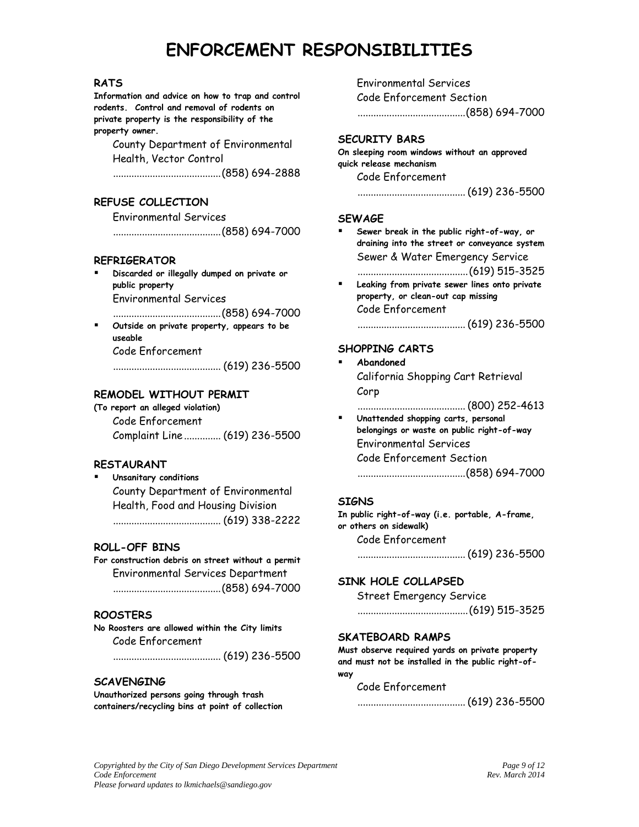#### **RATS**

**Information and advice on how to trap and control rodents. Control and removal of rodents on private property is the responsibility of the property owner.**

County Department of Environmental Health, Vector Control

.........................................(858) 694-2888

# **REFUSE COLLECTION**

Environmental Services

.........................................(858) 694-7000

#### **REFRIGERATOR**

 **Discarded or illegally dumped on private or public property**  Environmental Services

.........................................(858) 694-7000

 **Outside on private property, appears to be useable** Code Enforcement

......................................... (619) 236-5500

### **REMODEL WITHOUT PERMIT**

**(To report an alleged violation)** Code Enforcement Complaint Line .............. (619) 236-5500

## **RESTAURANT**

 **Unsanitary conditions** County Department of Environmental Health, Food and Housing Division ......................................... (619) 338-2222

### **ROLL-OFF BINS**

**For construction debris on street without a permit** Environmental Services Department .........................................(858) 694-7000

### **ROOSTERS**

**No Roosters are allowed within the City limits** Code Enforcement

......................................... (619) 236-5500

#### **SCAVENGING**

**Unauthorized persons going through trash containers/recycling bins at point of collection**

Environmental Services Code Enforcement Section .........................................(858) 694-7000

## **SECURITY BARS**

**On sleeping room windows without an approved quick release mechanism**

Code Enforcement

......................................... (619) 236-5500

#### **SEWAGE**

 **Sewer break in the public right-of-way, or draining into the street or conveyance system** Sewer & Water Emergency Service ..........................................(619) 515-3525

 **Leaking from private sewer lines onto private property, or clean-out cap missing** Code Enforcement

......................................... (619) 236-5500

## **SHOPPING CARTS**

 **Abandoned** California Shopping Cart Retrieval Corp

......................................... (800) 252-4613

 **Unattended shopping carts, personal belongings or waste on public right-of-way** Environmental Services Code Enforcement Section .........................................(858) 694-7000

#### **SIGNS**

**In public right-of-way (i.e. portable, A-frame, or others on sidewalk)** Code Enforcement ......................................... (619) 236-5500

### **SINK HOLE COLLAPSED**

Street Emergency Service

..........................................(619) 515-3525

#### **SKATEBOARD RAMPS**

**Must observe required yards on private property and must not be installed in the public right-ofway**

#### Code Enforcement

......................................... (619) 236-5500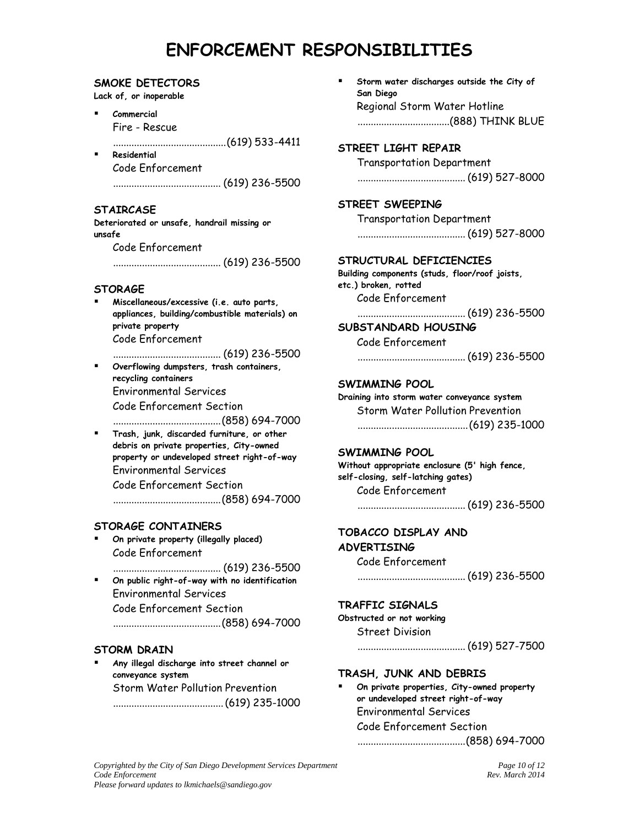#### **SMOKE DETECTORS**

**Lack of, or inoperable**

 **Commercial** Fire - Rescue

...........................................(619) 533-4411

 **Residential** Code Enforcement ......................................... (619) 236-5500

# **STAIRCASE**

**Deteriorated or unsafe, handrail missing or unsafe**

Code Enforcement

......................................... (619) 236-5500

# **STORAGE**

 **Miscellaneous/excessive (i.e. auto parts, appliances, building/combustible materials) on private property** Code Enforcement

......................................... (619) 236-5500

 **Overflowing dumpsters, trash containers, recycling containers** Environmental Services Code Enforcement Section

.........................................(858) 694-7000

 **Trash, junk, discarded furniture, or other debris on private properties, City-owned property or undeveloped street right-of-way** Environmental Services

Code Enforcement Section

.........................................(858) 694-7000

# **STORAGE CONTAINERS**

 **On private property (illegally placed)** Code Enforcement

......................................... (619) 236-5500

 **On public right-of-way with no identification** Environmental Services Code Enforcement Section .........................................(858) 694-7000

# **STORM DRAIN**

 **Any illegal discharge into street channel or conveyance system** Storm Water Pollution Prevention ..........................................(619) 235-1000  **Storm water discharges outside the City of San Diego** Regional Storm Water Hotline ...................................(888) THINK BLUE

# **STREET LIGHT REPAIR**

Transportation Department ......................................... (619) 527-8000

# **STREET SWEEPING**

Transportation Department ......................................... (619) 527-8000

# **STRUCTURAL DEFICIENCIES**

**Building components (studs, floor/roof joists, etc.) broken, rotted**

Code Enforcement

......................................... (619) 236-5500

# **SUBSTANDARD HOUSING**

Code Enforcement

......................................... (619) 236-5500

### **SWIMMING POOL**

**Draining into storm water conveyance system** Storm Water Pollution Prevention ..........................................(619) 235-1000

### **SWIMMING POOL**

**Without appropriate enclosure (5' high fence, self-closing, self-latching gates)** Code Enforcement

......................................... (619) 236-5500

# **TOBACCO DISPLAY AND ADVERTISING**

Code Enforcement

......................................... (619) 236-5500

## **TRAFFIC SIGNALS**

**Obstructed or not working** Street Division

......................................... (619) 527-7500

## **TRASH, JUNK AND DEBRIS**

 **On private properties, City-owned property or undeveloped street right-of-way** Environmental Services Code Enforcement Section .........................................(858) 694-7000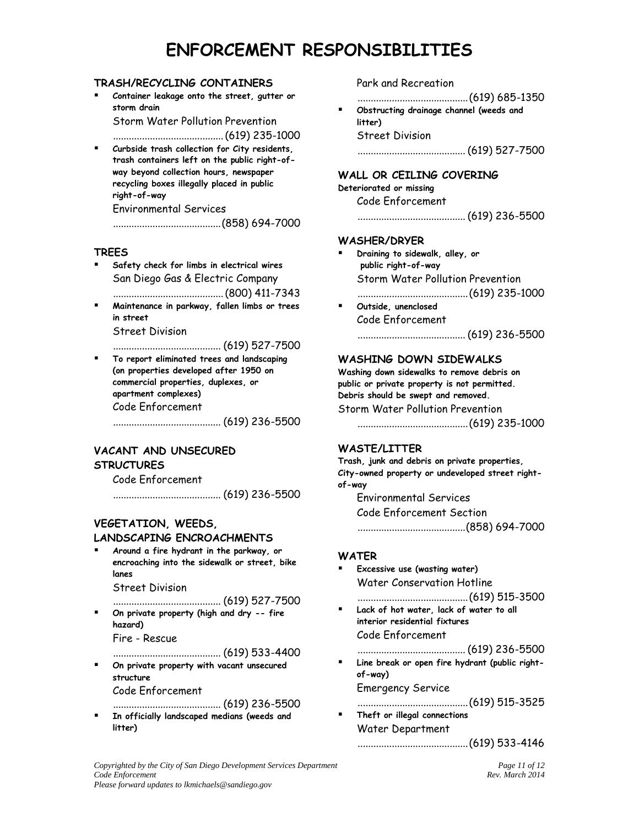### **TRASH/RECYCLING CONTAINERS**

 **Container leakage onto the street, gutter or storm drain**

Storm Water Pollution Prevention

..........................................(619) 235-1000

 **Curbside trash collection for City residents, trash containers left on the public right-ofway beyond collection hours, newspaper recycling boxes illegally placed in public right-of-way**

Environmental Services

.........................................(858) 694-7000

### **TREES**

 **Safety check for limbs in electrical wires** San Diego Gas & Electric Company

..........................................(800) 411-7343

 **Maintenance in parkway, fallen limbs or trees in street**

Street Division

......................................... (619) 527-7500

 **To report eliminated trees and landscaping (on properties developed after 1950 on commercial properties, duplexes, or apartment complexes)** Code Enforcement ......................................... (619) 236-5500

# **VACANT AND UNSECURED**

## **STRUCTURES**

Code Enforcement

......................................... (619) 236-5500

# **VEGETATION, WEEDS,**

#### **LANDSCAPING ENCROACHMENTS**

 **Around a fire hydrant in the parkway, or encroaching into the sidewalk or street, bike lanes**

Street Division

......................................... (619) 527-7500

 **On private property (high and dry -- fire hazard)** Fire - Rescue

......................................... (619) 533-4400

 **On private property with vacant unsecured structure** Code Enforcement

......................................... (619) 236-5500 **In officially landscaped medians (weeds and litter)**

Park and Recreation

..........................................(619) 685-1350

 **Obstructing drainage channel (weeds and litter)** Street Division

......................................... (619) 527-7500

# **WALL OR CEILING COVERING**

**Deteriorated or missing**

Code Enforcement ......................................... (619) 236-5500

#### **WASHER/DRYER**

- **Draining to sidewalk, alley, or public right-of-way** Storm Water Pollution Prevention
	- ..........................................(619) 235-1000
- **Outside, unenclosed** Code Enforcement ......................................... (619) 236-5500

## **WASHING DOWN SIDEWALKS**

**Washing down sidewalks to remove debris on public or private property is not permitted. Debris should be swept and removed.** Storm Water Pollution Prevention

..........................................(619) 235-1000

## **WASTE/LITTER**

**Trash, junk and debris on private properties, City-owned property or undeveloped street rightof-way**

Environmental Services Code Enforcement Section .........................................(858) 694-7000

#### **WATER**

- **Excessive use (wasting water)** Water Conservation Hotline ..........................................(619) 515-3500
- **Lack of hot water, lack of water to all interior residential fixtures** Code Enforcement
- ......................................... (619) 236-5500 **Line break or open fire hydrant (public rightof-way)** Emergency Service
- ..........................................(619) 515-3525 **Theft or illegal connections** Water Department

#### ..........................................(619) 533-4146